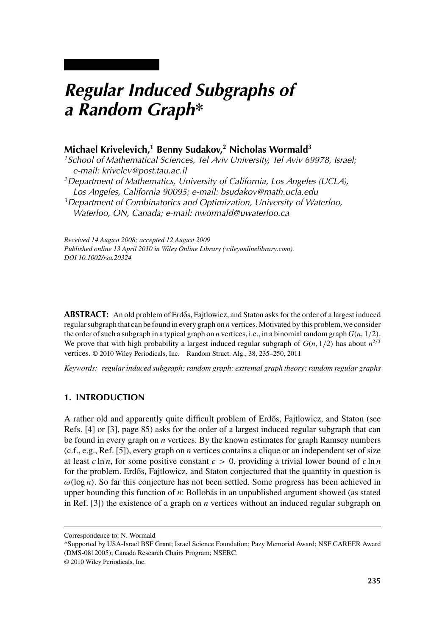# *Regular Induced Subgraphs of a Random Graph\**

# **Michael Krivelevich,1 Benny Sudakov,2 Nicholas Wormald3**

*1School of Mathematical Sciences, Tel Aviv University, Tel Aviv 69978, Israel; e-mail: krivelev@post.tau.ac.il 2Department of Mathematics, University of California, Los Angeles (UCLA), Los Angeles, California 90095; e-mail: bsudakov@math.ucla.edu 3Department of Combinatorics and Optimization, University of Waterloo,*

*Waterloo, ON, Canada; e-mail: nwormald@uwaterloo.ca*

*Received 14 August 2008; accepted 12 August 2009 Published online 13 April 2010 in Wiley Online Library (wileyonlinelibrary.com). DOI 10.1002/rsa.20324*

**ABSTRACT:** An old problem of Erdős, Fajtlowicz, and Staton asks for the order of a largest induced regular subgraph that can be found in every graph on *n* vertices. Motivated by this problem, we consider the order of such a subgraph in a typical graph on *n* vertices, i.e., in a binomial random graph *G*(*n*, 1/2). We prove that with high probability a largest induced regular subgraph of  $G(n, 1/2)$  has about  $n^{2/3}$ vertices. © 2010 Wiley Periodicals, Inc. Random Struct. Alg., 38, 235–250, 2011

*Keywords: regular induced subgraph; random graph; extremal graph theory; random regular graphs*

# **1. INTRODUCTION**

A rather old and apparently quite difficult problem of Erdős, Fajtlowicz, and Staton (see Refs. [4] or [3], page 85) asks for the order of a largest induced regular subgraph that can be found in every graph on *n* vertices. By the known estimates for graph Ramsey numbers (c.f., e.g., Ref. [5]), every graph on *n* vertices contains a clique or an independent set of size at least  $c \ln n$ , for some positive constant  $c > 0$ , providing a trivial lower bound of  $c \ln n$ for the problem. Erdős, Fajtlowicz, and Staton conjectured that the quantity in question is  $\omega(\log n)$ . So far this conjecture has not been settled. Some progress has been achieved in upper bounding this function of *n*: Bollobás in an unpublished argument showed (as stated in Ref. [3]) the existence of a graph on *n* vertices without an induced regular subgraph on

Correspondence to: N. Wormald

<sup>\*</sup>Supported by USA-Israel BSF Grant; Israel Science Foundation; Pazy Memorial Award; NSF CAREER Award (DMS-0812005); Canada Research Chairs Program; NSERC.

<sup>© 2010</sup> Wiley Periodicals, Inc.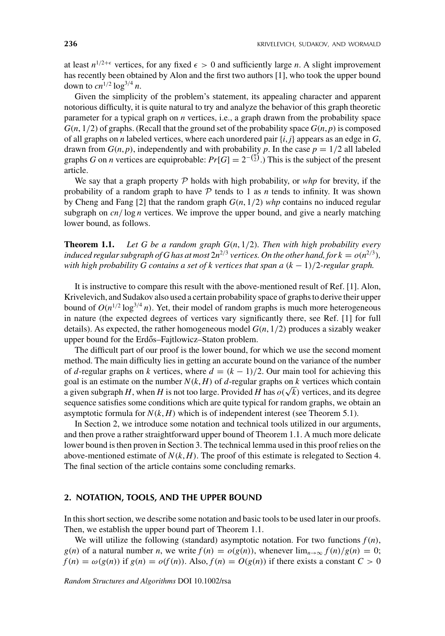at least  $n^{1/2+\epsilon}$  vertices, for any fixed  $\epsilon > 0$  and sufficiently large *n*. A slight improvement has recently been obtained by Alon and the first two authors [1], who took the upper bound down to  $cn^{1/2} \log^{3/4} n$ .

Given the simplicity of the problem's statement, its appealing character and apparent notorious difficulty, it is quite natural to try and analyze the behavior of this graph theoretic parameter for a typical graph on *n* vertices, i.e., a graph drawn from the probability space  $G(n, 1/2)$  of graphs. (Recall that the ground set of the probability space  $G(n, p)$  is composed of all graphs on *n* labeled vertices, where each unordered pair  $\{i, j\}$  appears as an edge in *G*, drawn from  $G(n, p)$ , independently and with probability p. In the case  $p = 1/2$  all labeled graphs *G* on *n* vertices are equiprobable:  $Pr[G] = 2^{-(\frac{n}{2})}$ .) This is the subject of the present article.

We say that a graph property P holds with high probability, or *whp* for brevity, if the probability of a random graph to have  $P$  tends to 1 as  $n$  tends to infinity. It was shown by Cheng and Fang [2] that the random graph *G*(*n*, 1/2) *whp* contains no induced regular subgraph on  $cn/\log n$  vertices. We improve the upper bound, and give a nearly matching lower bound, as follows.

**Theorem 1.1.** *Let G be a random graph G*(*n*, 1/2)*. Then with high probability every induced regular subgraph of G has at most*  $2n^{2/3}$  *vertices. On the other hand, for*  $k = o(n^{2/3})$ *, with high probability G contains a set of k vertices that span a* (*k* − 1)/2*-regular graph.*

It is instructive to compare this result with the above-mentioned result of Ref. [1]. Alon, Krivelevich, and Sudakov also used a certain probability space of graphs to derive their upper bound of  $O(n^{1/2} \log^{3/4} n)$ . Yet, their model of random graphs is much more heterogeneous in nature (the expected degrees of vertices vary significantly there, see Ref. [1] for full details). As expected, the rather homogeneous model *G*(*n*, 1/2) produces a sizably weaker upper bound for the Erdős–Fajtlowicz–Staton problem.

The difficult part of our proof is the lower bound, for which we use the second moment method. The main difficulty lies in getting an accurate bound on the variance of the number of *d*-regular graphs on *k* vertices, where  $d = (k - 1)/2$ . Our main tool for achieving this goal is an estimate on the number  $N(k, H)$  of d-regular graphs on  $k$  vertices which contain a given subgraph *H*, when *H* is not too large. Provided *H* has  $o(\sqrt{k})$  vertices, and its degree sequence satisfies some conditions which are quite typical for random graphs, we obtain an asymptotic formula for  $N(k, H)$  which is of independent interest (see Theorem 5.1).

In Section 2, we introduce some notation and technical tools utilized in our arguments, and then prove a rather straightforward upper bound of Theorem 1.1. A much more delicate lower bound is then proven in Section 3. The technical lemma used in this proof relies on the above-mentioned estimate of  $N(k, H)$ . The proof of this estimate is relegated to Section 4. The final section of the article contains some concluding remarks.

# **2. NOTATION, TOOLS, AND THE UPPER BOUND**

In this short section, we describe some notation and basic tools to be used later in our proofs. Then, we establish the upper bound part of Theorem 1.1.

We will utilize the following (standard) asymptotic notation. For two functions  $f(n)$ , *g*(*n*) of a natural number *n*, we write  $f(n) = o(g(n))$ , whenever  $\lim_{n\to\infty} f(n)/g(n) = 0$ ;  $f(n) = \omega(g(n))$  if  $g(n) = o(f(n))$ . Also,  $f(n) = O(g(n))$  if there exists a constant  $C > 0$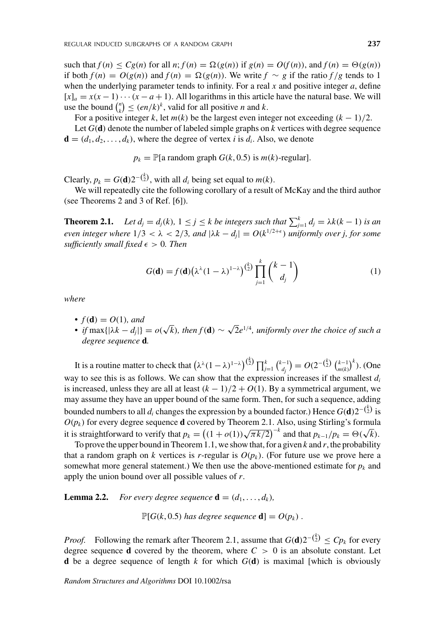such that  $f(n) \leq Cg(n)$  for all  $n; f(n) = \Omega(g(n))$  if  $g(n) = O(f(n))$ , and  $f(n) = \Theta(g(n))$ if both *f*(*n*) = *O*(*g*(*n*)) and *f*(*n*) = (*g*(*n*)). We write *f* ∼ *g* if the ratio *f* /*g* tends to 1 when the underlying parameter tends to infinity. For a real *x* and positive integer *a*, define  $[x]_a = x(x-1)\cdots(x-a+1)$ . All logarithms in this article have the natural base. We will use the bound  $\binom{n}{k} \leq (en/k)^k$ , valid for all positive *n* and *k*.

For a positive integer *k*, let  $m(k)$  be the largest even integer not exceeding  $(k - 1)/2$ . Let *G*(**d**) denote the number of labeled simple graphs on *k* vertices with degree sequence **, where the degree of vertex** *i* **is**  $d_i$ **. Also, we denote** 

 $p_k = \mathbb{P}[\text{a random graph } G(k, 0.5) \text{ is } m(k)$ -regular].

Clearly,  $p_k = G(\mathbf{d})2^{-\binom{k}{2}}$ , with all  $d_i$  being set equal to  $m(k)$ .

We will repeatedly cite the following corollary of a result of McKay and the third author (see Theorems 2 and 3 of Ref. [6]).

**Theorem 2.1.** *Let d<sub>j</sub>* =  $d_j(k)$ ,  $1 \leq j \leq k$  *be integers such that*  $\sum_{j=1}^k d_j = \lambda k(k-1)$  *is an even integer where*  $1/3 < \lambda < 2/3$ , and  $|\lambda k - d_j| = O(k^{1/2+\epsilon})$  *uniformly over j, for some*  $sufficiently small fixed \epsilon > 0$ . Then

$$
G(\mathbf{d}) = f(\mathbf{d}) \left( \lambda^{\lambda} (1 - \lambda)^{1 - \lambda} \right)^{\binom{k}{2}} \prod_{j=1}^{k} \binom{k-1}{d_j} \tag{1}
$$

*where*

- $f(\mathbf{d}) = O(1)$ *, and*
- *• if* max{ $|\lambda k d_j|$ } =  $o(\sqrt{k})$ *, then*  $f(\mathbf{d}) \sim \sqrt{2}e^{1/4}$ *, uniformly over the choice of such a degree sequence* **d***.*

It is a routine matter to check that  $(\lambda^{\lambda}(1-\lambda)^{1-\lambda})^{(\frac{k}{2})} \prod_{j=1}^{k} {\binom{k-1}{d_j}} = O(2^{-\binom{k}{2}} \binom{k-1}{m(k)}^k$ . (One way to see this is as follows. We can show that the expression increases if the smallest *di* is increased, unless they are all at least  $(k - 1)/2 + O(1)$ . By a symmetrical argument, we may assume they have an upper bound of the same form. Then, for such a sequence, adding bounded numbers to all  $d_i$  changes the expression by a bounded factor.) Hence  $G(\mathbf{d})2^{-\binom{k}{2}}$  is  $O(p_k)$  for every degree sequence **d** covered by Theorem 2.1. Also, using Stirling's formula it is straightforward to verify that  $p_k = ((1 + o(1))\sqrt{\pi k/2})^{-k}$  and that  $p_{k-1}/p_k = \Theta(\sqrt{k})$ .

To prove the upper bound in Theorem 1.1, we show that, for a given  $k$  and  $r$ , the probability that a random graph on *k* vertices is *r*-regular is  $O(p_k)$ . (For future use we prove here a somewhat more general statement.) We then use the above-mentioned estimate for  $p_k$  and apply the union bound over all possible values of *r*.

**Lemma 2.2.** *For every degree sequence*  $\mathbf{d} = (d_1, \ldots, d_k)$ *,* 

 $\mathbb{P}[G(k, 0.5)$  *has degree sequence* **d**] =  $O(p_k)$ .

*Proof.* Following the remark after Theorem 2.1, assume that  $G(\mathbf{d})2^{-\binom{k}{2}} \leq Cp_k$  for every degree sequence **d** covered by the theorem, where  $C > 0$  is an absolute constant. Let **d** be a degree sequence of length *k* for which *G*(**d**) is maximal [which is obviously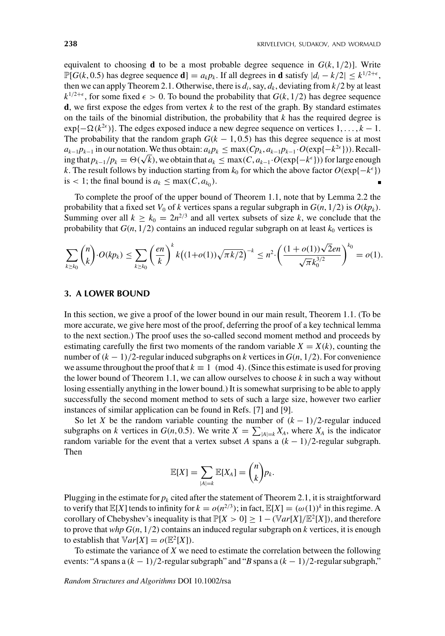equivalent to choosing **d** to be a most probable degree sequence in  $G(k, 1/2)$ . Write  $\mathbb{P}[G(k, 0.5)$  has degree sequence **d**] =  $a_k p_k$ . If all degrees in **d** satisfy  $|d_i - k/2| \leq k^{1/2 + \epsilon}$ , then we can apply Theorem 2.1. Otherwise, there is  $d_i$ , say,  $d_k$ , deviating from  $k/2$  by at least  $k^{1/2+\epsilon}$ , for some fixed  $\epsilon > 0$ . To bound the probability that  $G(k, 1/2)$  has degree sequence **d**, we first expose the edges from vertex  $k$  to the rest of the graph. By standard estimates on the tails of the binomial distribution, the probability that *k* has the required degree is  $\exp{\{-\Omega(k^{2\epsilon})\}}$ . The edges exposed induce a new degree sequence on vertices  $1, \ldots, k - 1$ . The probability that the random graph  $G(k - 1, 0.5)$  has this degree sequence is at most *a<sub>k−1</sub>p<sub>k−1</sub>* in our notation. We thus obtain:  $a_k p_k$  ≤ max( $C p_k$ ,  $a_{k-1} p_{k-1}$  $\cdot$  $O(\exp\{-k^{2\epsilon}\})$ ). Recall $i\alpha_{k-1}P_{k-1}$  in our notation. We thus obtain  $\alpha_{k}P_{k} \geq \max(C, a_{k-1}.O(\exp\{-k^{\epsilon}\}))$  for large enough ing that  $p_{k-1}/p_k = \Theta(\sqrt{k})$ , we obtain that  $a_k \leq \max(C, a_{k-1}.O(\exp\{-k^{\epsilon}\}))$  for large enough *k*. The result follows by induction starting from  $k_0$  for which the above factor  $O(\exp\{-k^{\epsilon}\})$ is < 1; the final bound is  $a_k \leq \max(C, a_{k_0})$ .

To complete the proof of the upper bound of Theorem 1.1, note that by Lemma 2.2 the probability that a fixed set  $V_0$  of  $k$  vertices spans a regular subgraph in  $G(n, 1/2)$  is  $O(kp_k)$ . Summing over all  $k \geq k_0 = 2n^{2/3}$  and all vertex subsets of size k, we conclude that the probability that  $G(n, 1/2)$  contains an induced regular subgraph on at least  $k_0$  vertices is

$$
\sum_{k\geq k_0} \binom{n}{k} \cdot O(kp_k) \leq \sum_{k\geq k_0} \left(\frac{en}{k}\right)^k k \big((1+o(1))\sqrt{\pi k/2}\big)^{-k} \leq n^2 \cdot \left(\frac{(1+o(1))\sqrt{2}en}{\sqrt{\pi k_0^{3/2}}}\right)^{k_0} = o(1).
$$

## **3. A LOWER BOUND**

In this section, we give a proof of the lower bound in our main result, Theorem 1.1. (To be more accurate, we give here most of the proof, deferring the proof of a key technical lemma to the next section.) The proof uses the so-called second moment method and proceeds by estimating carefully the first two moments of the random variable  $X = X(k)$ , counting the number of  $(k - 1)/2$ -regular induced subgraphs on *k* vertices in  $G(n, 1/2)$ . For convenience we assume throughout the proof that  $k \equiv 1 \pmod{4}$ . (Since this estimate is used for proving the lower bound of Theorem 1.1, we can allow ourselves to choose *k* in such a way without losing essentially anything in the lower bound.) It is somewhat surprising to be able to apply successfully the second moment method to sets of such a large size, however two earlier instances of similar application can be found in Refs. [7] and [9].

So let *X* be the random variable counting the number of  $(k - 1)/2$ -regular induced subgraphs on *k* vertices in  $G(n, 0.5)$ . We write  $X = \sum_{|A|=k} X_A$ , where  $X_A$  is the indicator random variable for the event that a vertex subset *A* spans a  $(k - 1)/2$ -regular subgraph. Then

$$
\mathbb{E}[X] = \sum_{|A|=k} \mathbb{E}[X_A] = \binom{n}{k} p_k.
$$

Plugging in the estimate for  $p_k$  cited after the statement of Theorem 2.1, it is straightforward to verify that  $\mathbb{E}[X]$  tends to infinity for  $k = o(n^{2/3})$ ; in fact,  $\mathbb{E}[X] = (\omega(1))^k$  in this regime. A corollary of Chebyshev's inequality is that  $\mathbb{P}[X > 0] \geq 1 - (\mathbb{V}ar[X]/\mathbb{E}^2[X])$ , and therefore to prove that *whp G*(*n*, 1/2) contains an induced regular subgraph on *k* vertices, it is enough to establish that  $\mathbb{V}ar[X] = o(\mathbb{E}^2[X])$ .

To estimate the variance of *X* we need to estimate the correlation between the following events: "*A* spans a (*k* − 1)/2-regular subgraph" and "*B* spans a (*k* − 1)/2-regular subgraph,"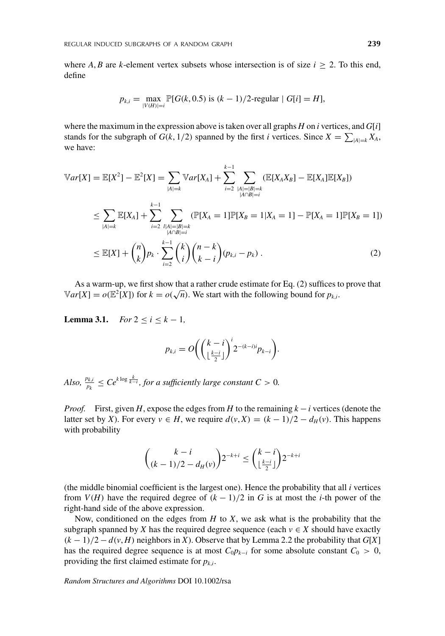where *A*, *B* are *k*-element vertex subsets whose intersection is of size  $i \geq 2$ . To this end, define

$$
p_{k,i} = \max_{|V(H)|=i} \mathbb{P}[G(k, 0.5) \text{ is } (k-1)/2\text{-regular} | G[i] = H],
$$

where the maximum in the expression above is taken over all graphs *H* on *i* vertices, and *G*[*i*] stands for the subgraph of  $G(k, 1/2)$  spanned by the first *i* vertices. Since  $X = \sum_{|A|=k} X_A$ , we have:

$$
\mathbb{V}ar[X] = \mathbb{E}[X^2] - \mathbb{E}^2[X] = \sum_{|A|=k} \mathbb{V}ar[X_A] + \sum_{i=2}^{k-1} \sum_{\substack{|A|=|B|=k \ |A\cap B|=i}} (\mathbb{E}[X_A X_B] - \mathbb{E}[X_A]\mathbb{E}[X_B])
$$
  
\n
$$
\leq \sum_{|A|=k} \mathbb{E}[X_A] + \sum_{i=2}^{k-1} \sum_{\substack{|A|=|B|=k \ |A\cap B|=i}} (\mathbb{P}[X_A = 1]\mathbb{P}[X_B = 1|X_A = 1] - \mathbb{P}[X_A = 1]\mathbb{P}[X_B = 1])
$$
  
\n
$$
\leq \mathbb{E}[X] + {n \choose k} p_k \cdot \sum_{i=2}^{k-1} {k \choose i} {n-k \choose k-i} (p_{k,i} - p_k).
$$
 (2)

As a warm-up, we first show that a rather crude estimate for Eq. (2) suffices to prove that  $Var[X] = o(\mathbb{E}^2[X])$  for  $k = o(\sqrt{n})$ . We start with the following bound for  $p_{k,i}$ .

**Lemma 3.1.** *For*  $2 < i < k - 1$ *,* 

$$
p_{k,i} = O\bigg(\bigg(\frac{k-i}{\lfloor \frac{k-i}{2} \rfloor}\bigg)^i 2^{-(k-i)i} p_{k-i}\bigg).
$$

*Also,*  $\frac{p_{k,i}}{p_k} \le Ce^{k \log \frac{k}{k-i}}$ , for a sufficiently large constant  $C > 0$ .

*Proof.* First, given *H*, expose the edges from *H* to the remaining *k* − *i* vertices (denote the latter set by *X*). For every *v* ∈ *H*, we require  $d(v, X) = (k - 1)/2 - d_H(v)$ . This happens with probability

$$
\binom{k-i}{(k-1)/2-d_H(v)} 2^{-k+i} \leq \binom{k-i}{\lfloor \frac{k-i}{2} \rfloor} 2^{-k+i}
$$

(the middle binomial coefficient is the largest one). Hence the probability that all  $i$  vertices from  $V(H)$  have the required degree of  $(k - 1)/2$  in *G* is at most the *i*-th power of the right-hand side of the above expression.

Now, conditioned on the edges from *H* to *X*, we ask what is the probability that the subgraph spanned by *X* has the required degree sequence (each  $v \in X$  should have exactly  $(k-1)/2 - d(v, H)$  neighbors in *X*). Observe that by Lemma 2.2 the probability that *G*[*X*] has the required degree sequence is at most  $C_0 p_{k-i}$  for some absolute constant  $C_0 > 0$ , providing the first claimed estimate for  $p_{k,i}$ .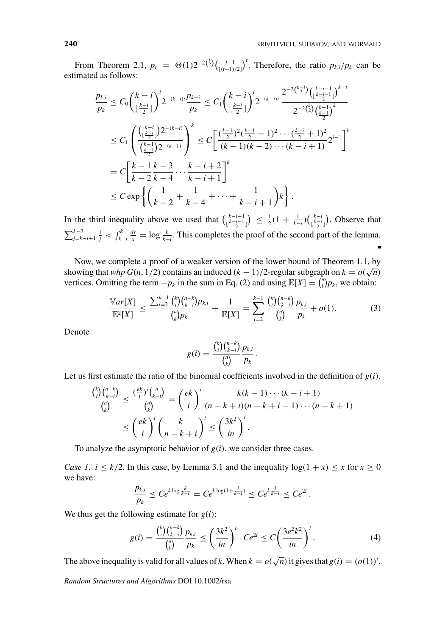From Theorem 2.1,  $p_t = \Theta(1)2^{-2(\frac{t}{2})} \left( \frac{t-1}{\lfloor (t-1)/2 \rfloor} \right)^t$ . Therefore, the ratio  $p_{k,i}/p_k$  can be estimated as follows:

$$
\frac{p_{k,i}}{p_k} \le C_0 \left(\frac{k-i}{\lfloor \frac{k-i}{2} \rfloor}\right)^i 2^{-(k-i)i} \frac{p_{k-i}}{p_k} \le C_1 \left(\frac{k-i}{\lfloor \frac{k-i}{2} \rfloor}\right)^i 2^{-(k-i)i} \frac{2^{-2\binom{k-i}{2}} \left(\frac{k-i-1}{\lfloor \frac{k-i}{2} \rfloor}\right)^{k-i}}{2^{-2\binom{k}{2}} \left(\frac{k-1}{\lfloor \frac{k-i}{2} \rfloor}\right)^k}
$$
\n
$$
\le C_1 \left(\frac{\binom{k-i}{\lfloor \frac{k-i}{2} \rfloor} 2^{-(k-i)}}{\binom{k-1}{\frac{k-i}{2}} 2^{-(k-i)}}\right)^k \le C \left[\frac{\binom{k-1}{2}^2 \left(\frac{k-1}{2} - 1\right)^2 \cdots \left(\frac{k-i}{2} + 1\right)^2}{(k-1)(k-2) \cdots (k-i+1)} 2^{i-1}\right]^k
$$
\n
$$
= C \left[\frac{k-1}{k-2} \frac{k-3}{k-4} \cdots \frac{k-i+2}{k-i+1}\right]^k
$$
\n
$$
\le C \exp \left\{\left(\frac{1}{k-2} + \frac{1}{k-4} + \cdots + \frac{1}{k-i+1}\right)k\right\}.
$$

In the third inequality above we used that  $\binom{k-i-1}{\lfloor \frac{k-i-1}{2} \rfloor} \leq \frac{1}{2}(1 + \frac{1}{k-i})\binom{k-i}{\lfloor \frac{k-i}{2} \rfloor}$ . Observe that  $\sum_{j=k-i+1}^{k-2} \frac{1}{j} < \int_{k-i}^{k} \frac{dx}{x} = \log \frac{k}{k-i}$ . This completes the proof of the second part of the lemma.

Now, we complete a proof of a weaker version of the lower bound of Theorem 1.1, by showing that *whp G*(*n*, 1/2) contains an induced  $(k - 1)/2$ -regular subgraph on  $k = o(\sqrt{n})$ vertices. Omitting the term  $-p_k$  in the sum in Eq. (2) and using  $\mathbb{E}[X] = \binom{n}{k} p_k$ , we obtain:

$$
\frac{\mathbb{V}ar[X]}{\mathbb{E}^2[X]} \le \frac{\sum_{i=2}^{k-1} {k \choose i} {n-k \choose k-i} p_{k,i}}{ {n \choose k} p_k} + \frac{1}{\mathbb{E}[X]} = \sum_{i=2}^{k-1} {k \choose i} {n-k \choose k-i} p_{k,i}}{ {n \choose k} p_k} + o(1).
$$
 (3)

Denote

$$
g(i) = \frac{\binom{k}{i}\binom{n-k}{k-i}}{\binom{n}{k}}\frac{p_{k,i}}{p_k}.
$$

Let us first estimate the ratio of the binomial coefficients involved in the definition of  $g(i)$ .

$$
\frac{\binom{k}{i}\binom{n-k}{k-i}}{\binom{n}{k}} \le \frac{\left(\frac{ek}{i}\right)^i \binom{n}{k-i}}{\binom{n}{k}} = \left(\frac{ek}{i}\right)^i \frac{k(k-1)\cdots(k-i+1)}{(n-k+i)(n-k+i-1)\cdots(n-k+1)}
$$

$$
\le \left(\frac{ek}{i}\right)^i \left(\frac{k}{n-k+i}\right)^i \le \left(\frac{3k^2}{in}\right)^i.
$$

To analyze the asymptotic behavior of *g*(*i*), we consider three cases.

*Case 1.*  $i \leq k/2$ . In this case, by Lemma 3.1 and the inequality  $log(1 + x) \leq x$  for  $x \geq 0$ we have:

$$
\frac{p_{k,i}}{p_k} \leq Ce^{k \log \frac{k}{k-i}} = Ce^{k \log(1+\frac{i}{k-i})} \leq Ce^{k \frac{i}{k-i}} \leq Ce^{2i}.
$$

We thus get the following estimate for  $g(i)$ :

$$
g(i) = \frac{\binom{k}{i}\binom{n-k}{k-i}}{\binom{n}{k}} \frac{p_{k,i}}{p_k} \le \left(\frac{3k^2}{in}\right)^i \cdot Ce^{2i} \le C\left(\frac{3e^2k^2}{in}\right)^i.
$$
 (4)

The above inequality is valid for all values of *k*. When  $k = o(\sqrt{n})$  it gives that  $g(i) = (o(1))^i$ .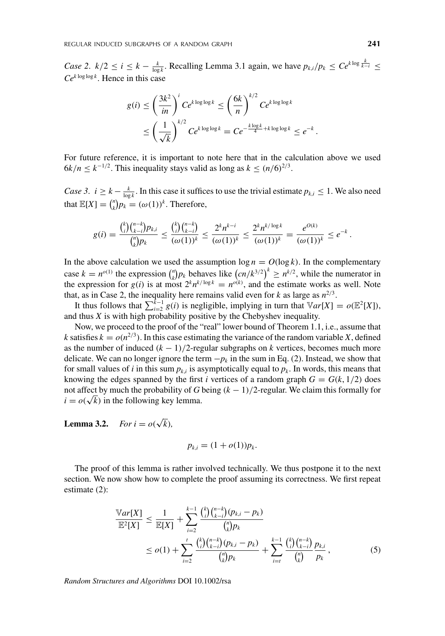*Case 2.*  $k/2 \le i \le k - \frac{k}{\log k}$ . Recalling Lemma 3.1 again, we have  $p_{k,i}/p_k \le Ce^{k \log \frac{k}{k-i}} \le$  $Ce^{k \log \log k}$ . Hence in this case

$$
g(i) \leq \left(\frac{3k^2}{in}\right)^i Ce^{k \log \log k} \leq \left(\frac{6k}{n}\right)^{k/2} Ce^{k \log \log k}
$$
  

$$
\leq \left(\frac{1}{\sqrt{k}}\right)^{k/2} Ce^{k \log \log k} = Ce^{-\frac{k \log k}{4} + k \log \log k} \leq e^{-k}.
$$

For future reference, it is important to note here that in the calculation above we used  $6k/n \leq k^{-1/2}$ . This inequality stays valid as long as  $k \leq (n/6)^{2/3}$ .

*Case 3.*  $i \geq k - \frac{k}{\log k}$ . In this case it suffices to use the trivial estimate  $p_{k,i} \leq 1$ . We also need that  $\mathbb{E}[X] = \binom{n}{k} p_k = (\omega(1))^k$ . Therefore,

$$
g(i) = \frac{\binom{k}{i}\binom{n-k}{k-i}p_{k,i}}{\binom{n}{k}p_k} \le \frac{\binom{k}{i}\binom{n-k}{k-i}}{(\omega(1))^k} \le \frac{2^kn^{k-i}}{(\omega(1))^k} \le \frac{2^kn^{k/\log k}}{(\omega(1))^k} = \frac{e^{O(k)}}{(\omega(1))^k} \le e^{-k}.
$$

In the above calculation we used the assumption  $\log n = O(\log k)$ . In the complementary case  $k = n^{o(1)}$  the expression  $\binom{n}{k} p_k$  behaves like  $\left(\frac{cn}{k^{3/2}}\right)^k \geq n^{k/2}$ , while the numerator in the expression for *g*(*i*) is at most  $2^k n^{k/\log k} = n^{o(k)}$ , and the estimate works as well. Note that, as in Case 2, the inequality here remains valid even for  $k$  as large as  $n^{2/3}$ .

It thus follows that  $\sum_{i=2}^{k-1} g(i)$  is negligible, implying in turn that  $\mathbb{V}ar[X] = o(\mathbb{E}^2[X]),$ and thus *X* is with high probability positive by the Chebyshev inequality.

Now, we proceed to the proof of the "real" lower bound of Theorem 1.1, i.e., assume that *k* satisfies  $k = o(n^{2/3})$ . In this case estimating the variance of the random variable *X*, defined as the number of induced  $(k - 1)/2$ -regular subgraphs on *k* vertices, becomes much more delicate. We can no longer ignore the term  $-p_k$  in the sum in Eq. (2). Instead, we show that for small values of *i* in this sum  $p_{k,i}$  is asymptotically equal to  $p_k$ . In words, this means that knowing the edges spanned by the first *i* vertices of a random graph  $G = G(k, 1/2)$  does not affect by much the probability of *G* being (*k* − 1)/2-regular. We claim this formally for  $i = o(\sqrt{k})$  in the following key lemma.

**Lemma 3.2.** *For*  $i = o(\sqrt{k})$ *,* 

$$
p_{k,i}=(1+o(1))p_k.
$$

The proof of this lemma is rather involved technically. We thus postpone it to the next section. We now show how to complete the proof assuming its correctness. We first repeat estimate (2):

$$
\frac{\mathbb{V}ar[X]}{\mathbb{E}^2[X]} \leq \frac{1}{\mathbb{E}[X]} + \sum_{i=2}^{k-1} \frac{\binom{k}{i} \binom{n-k}{k-i} (p_{k,i} - p_k)}{\binom{n}{k} p_k} \\
\leq o(1) + \sum_{i=2}^t \frac{\binom{k}{i} \binom{n-k}{k-i} (p_{k,i} - p_k)}{\binom{n}{k} p_k} + \sum_{i=t}^{k-1} \frac{\binom{k}{i} \binom{n-k}{k-i} p_{k,i}}{\binom{n}{k} p_k},\n\tag{5}
$$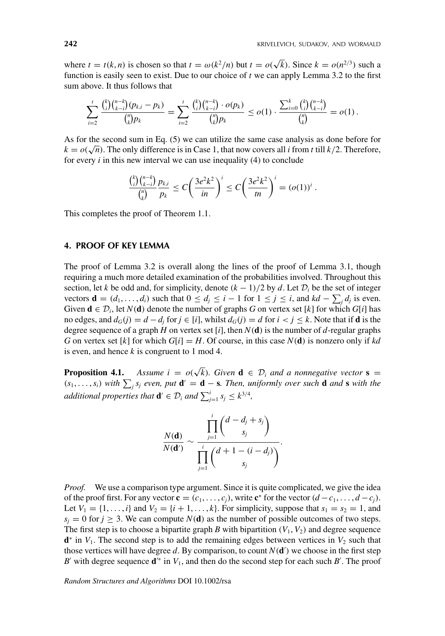where  $t = t(k, n)$  is chosen so that  $t = \omega(k^2/n)$  but  $t = o(\sqrt{k})$ . Since  $k = o(n^{2/3})$  such a function is easily seen to exist. Due to our choice of *t* we can apply Lemma 3.2 to the first sum above. It thus follows that

$$
\sum_{i=2}^t \frac{\binom{k}{i}\binom{n-k}{k-i}(p_{k,i}-p_k)}{\binom{n}{k}p_k} = \sum_{i=2}^t \frac{\binom{k}{i}\binom{n-k}{k-i} \cdot o(p_k)}{\binom{n}{k}p_k} \leq o(1) \cdot \frac{\sum_{i=0}^k \binom{k}{i}\binom{n-k}{k-i}}{\binom{n}{k}} = o(1) \, .
$$

As for the second sum in Eq. (5) we can utilize the same case analysis as done before for  $k = o(\sqrt{n})$ . The only difference is in Case 1, that now covers all *i* from *t* till *k*/2. Therefore, for every *i* in this new interval we can use inequality (4) to conclude

$$
\frac{\binom{k}{i}\binom{n-k}{k-i}}{\binom{n}{k}}\frac{p_{k,i}}{p_k}\leq C\left(\frac{3e^2k^2}{in}\right)^i\leq C\left(\frac{3e^2k^2}{tn}\right)^i=(o(1))^i.
$$

This completes the proof of Theorem 1.1.

# **4. PROOF OF KEY LEMMA**

The proof of Lemma 3.2 is overall along the lines of the proof of Lemma 3.1, though requiring a much more detailed examination of the probabilities involved. Throughout this section, let *k* be odd and, for simplicity, denote  $(k - 1)/2$  by *d*. Let  $\mathcal{D}_i$  be the set of integer vectors **d** =  $(d_1, \ldots, d_i)$  such that  $0 \le d_j \le i - 1$  for  $1 \le j \le i$ , and  $kd - \sum_j d_j$  is even. Given  $\mathbf{d} \in \mathcal{D}_i$ , let  $N(\mathbf{d})$  denote the number of graphs *G* on vertex set [*k*] for which *G*[*i*] has no edges, and  $d_G(i) = d - d_i$  for  $j \in [i]$ , whilst  $d_G(i) = d$  for  $i < j \le k$ . Note that if **d** is the degree sequence of a graph *H* on vertex set [*i*], then *N*(**d**) is the number of *d*-regular graphs *G* on vertex set [*k*] for which  $G[i] = H$ . Of course, in this case  $N(d)$  is nonzero only if *kd* is even, and hence *k* is congruent to 1 mod 4.

**Proposition 4.1.** *Assume i* =  $o(\sqrt{k})$ *. Given* **d**  $\in \mathcal{D}_i$  *and a nonnegative vector* **s** =  $(s_1, \ldots, s_i)$  with  $\sum_j s_j$  even, put  $\mathbf{d}' = \mathbf{d} - \mathbf{s}$ . Then, uniformly over such  $\mathbf{d}$  and  $\mathbf{s}$  with the *additional properties that*  $\mathbf{d}' \in \mathcal{D}_i$  *and*  $\sum_{j=1}^i s_j \leq k^{3/4}$ *,* 

$$
\frac{N(\mathbf{d})}{N(\mathbf{d}^{\prime})} \sim \frac{\prod_{j=1}^{i} {d - d_j + s_j \choose s_j}}{\prod_{j=1}^{i} {d + 1 - (i - d_j) \choose s_j}}.
$$

*Proof.* We use a comparison type argument. Since it is quite complicated, we give the idea of the proof first. For any vector  $\mathbf{c} = (c_1, \ldots, c_j)$ , write  $\mathbf{c}^*$  for the vector  $(d - c_1, \ldots, d - c_j)$ . Let  $V_1 = \{1, ..., i\}$  and  $V_2 = \{i + 1, ..., k\}$ . For simplicity, suppose that  $s_1 = s_2 = 1$ , and  $s_j = 0$  for  $j \ge 3$ . We can compute  $N(\mathbf{d})$  as the number of possible outcomes of two steps. The first step is to choose a bipartite graph *B* with bipartition  $(V_1, V_2)$  and degree sequence  $\mathbf{d}^*$  in *V*<sub>1</sub>. The second step is to add the remaining edges between vertices in *V*<sub>2</sub> such that those vertices will have degree  $d$ . By comparison, to count  $N(\mathbf{d}')$  we choose in the first step *B*' with degree sequence **d**<sup>\*</sup> in  $V_1$ , and then do the second step for each such *B*'. The proof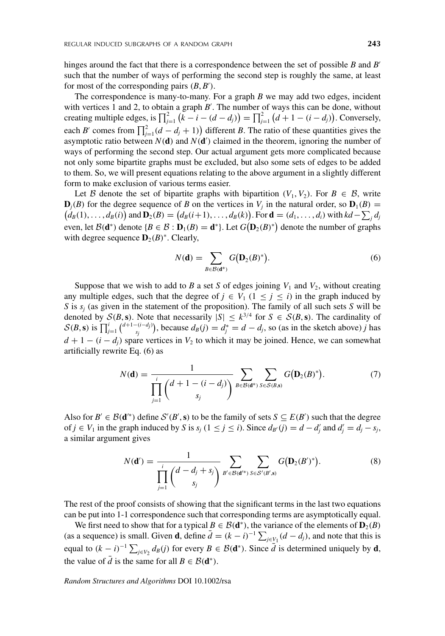hinges around the fact that there is a correspondence between the set of possible *B* and *B* such that the number of ways of performing the second step is roughly the same, at least for most of the corresponding pairs  $(B, B')$ .

The correspondence is many-to-many. For a graph *B* we may add two edges, incident with vertices 1 and 2, to obtain a graph  $B'$ . The number of ways this can be done, without creating multiple edges, is  $\prod_{j=1}^{2} (k - i - (d - d_j)) = \prod_{j=1}^{2} (d + 1 - (i - d_j))$ . Conversely, each *B'* comes from  $\prod_{j=1}^{2} (d - d_j + 1)$  different *B*. The ratio of these quantities gives the asymptotic ratio between  $N(\mathbf{d})$  and  $N(\mathbf{d}')$  claimed in the theorem, ignoring the number of ways of performing the second step. Our actual argument gets more complicated because not only some bipartite graphs must be excluded, but also some sets of edges to be added to them. So, we will present equations relating to the above argument in a slightly different form to make exclusion of various terms easier.

Let B denote the set of bipartite graphs with bipartition  $(V_1, V_2)$ . For  $B \in \mathcal{B}$ , write  $\mathbf{D}_i(B)$  for the degree sequence of *B* on the vertices in  $V_i$  in the natural order, so  $\mathbf{D}_1(B)$  =  $d_B(1), \ldots, d_B(i)$  and  $D_2(B) = (d_B(i+1), \ldots, d_B(k))$ . For  $\mathbf{d} = (d_1, \ldots, d_i)$  with  $kd - \sum_j d_j$ even, let  $\mathcal{B}(\mathbf{d}^*)$  denote  $\{B \in \mathcal{B} : \mathbf{D}_1(B) = \mathbf{d}^*\}$ . Let  $G(\mathbf{D}_2(B)^*)$  denote the number of graphs with degree sequence  $\mathbf{D}_2(B)^*$ . Clearly,

$$
N(\mathbf{d}) = \sum_{B \in \mathcal{B}(\mathbf{d}^*)} G(D_2(B)^*).
$$
 (6)

Suppose that we wish to add to *B* a set *S* of edges joining  $V_1$  and  $V_2$ , without creating any multiple edges, such that the degree of  $j \in V_1$  ( $1 \le j \le i$ ) in the graph induced by *S* is *sj* (as given in the statement of the proposition). The family of all such sets *S* will be denoted by  $S(B, s)$ . Note that necessarily  $|S| \leq k^{3/4}$  for  $S \in S(B, s)$ . The cardinality of  $S(B, s)$  is  $\prod_{j=1}^{i} {d+1-(i-d_j) \choose s_j}$ , because  $d_B(j) = d_j^* = d - d_j$ , so (as in the sketch above) *j* has  $d + 1 - (i - d_i)$  spare vertices in  $V_2$  to which it may be joined. Hence, we can somewhat artificially rewrite Eq. (6) as

$$
N(\mathbf{d}) = \frac{1}{\prod_{j=1}^{i} {d+1 - (i - d_j) \choose s_j}} \sum_{B \in \mathcal{B}(\mathbf{d}^*)} \sum_{S \in \mathcal{S}(B,\mathbf{s})} G(\mathbf{D}_2(B)^*).
$$
 (7)

Also for  $B' \in \mathcal{B}(\mathbf{d}^*)$  define  $\mathcal{S}'(B', \mathbf{s})$  to be the family of sets  $S \subseteq E(B')$  such that the degree of *j* ∈ *V*<sub>1</sub> in the graph induced by *S* is  $s_j$  (1 ≤ *j* ≤ *i*). Since  $d_{B'}(j) = d - d'_j$  and  $d'_j = d_j - s_j$ , a similar argument gives

$$
N(\mathbf{d}') = \frac{1}{\prod_{j=1}^{i} {d - d_j + s_j \choose s_j}} \sum_{B' \in \mathcal{B}(\mathbf{d}^{s})} \sum_{S \in \mathcal{S}'(B', s)} G(D_2(B')^*).
$$
 (8)

The rest of the proof consists of showing that the significant terms in the last two equations can be put into 1-1 correspondence such that corresponding terms are asymptotically equal.

We first need to show that for a typical  $B \in \mathcal{B}(\mathbf{d}^*)$ , the variance of the elements of  $\mathbf{D}_2(B)$ (as a sequence) is small. Given **d**, define  $\overline{d} = (k - i)^{-1} \sum_{j \in V_1} (d - d_j)$ , and note that this is equal to  $(k - i)^{-1} \sum_{j \in V_2} d_B(j)$  for every  $B \in \mathcal{B}(\mathbf{d}^*)$ . Since  $\overline{d}$  is determined uniquely by  $\mathbf{d}$ , the value of  $\overline{d}$  is the same for all  $B \in \mathcal{B}(\mathbf{d}^*)$ .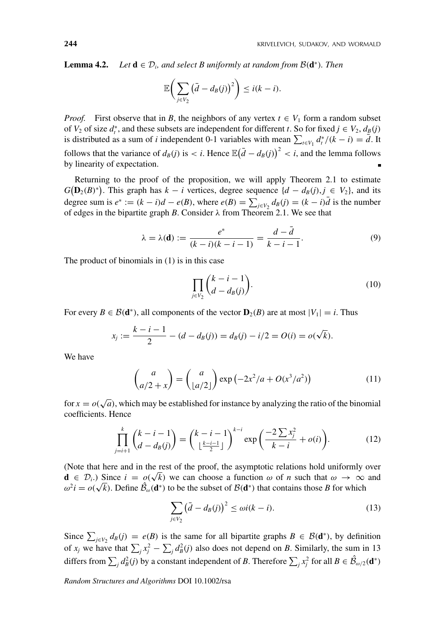**Lemma 4.2.** *Let*  $\mathbf{d} \in \mathcal{D}_i$ , and select B uniformly at random from  $\mathcal{B}(\mathbf{d}^*)$ . Then

$$
\mathbb{E}\bigg(\sum_{j\in V_2}\big(\bar{d}-d_B(j)\big)^2\bigg)\leq i(k-i).
$$

*Proof.* First observe that in *B*, the neighbors of any vertex  $t \in V_1$  form a random subset of *V*<sub>2</sub> of size  $d_t^*$ , and these subsets are independent for different *t*. So for fixed  $j \in V_2$ ,  $d_B(j)$ is distributed as a sum of *i* independent 0-1 variables with mean  $\sum_{t \in V_1} d_t^*/(k - i) = d$ . It follows that the variance of  $d_B(j)$  is < *i*. Hence  $\mathbb{E}(\bar{d} - d_B(j))^2 < i$ , and the lemma follows by linearity of expectation.

Returning to the proof of the proposition, we will apply Theorem 2.1 to estimate  $G(D_2(B)^*)$ . This graph has  $k - i$  vertices, degree sequence  $\{d - d_B(j), j \in V_2\}$ , and its degree sum is  $e^* := (k - i)d - e(B)$ , where  $e(B) = \sum_{j \in V_2} d_B(j) = (k - i)d$  is the number of edges in the bipartite graph *B*. Consider  $\lambda$  from Theorem 2.1. We see that

$$
\lambda = \lambda(\mathbf{d}) := \frac{e^*}{(k-i)(k-i-1)} = \frac{d-d}{k-i-1}.
$$
 (9)

The product of binomials in (1) is in this case

$$
\prod_{j\in V_2} \binom{k-i-1}{d-d_B(j)}.\tag{10}
$$

For every  $B \in \mathcal{B}(\mathbf{d}^*)$ , all components of the vector  $\mathbf{D}_2(B)$  are at most  $|V_1| = i$ . Thus

$$
x_j := \frac{k - i - 1}{2} - (d - d_B(j)) = d_B(j) - i/2 = O(i) = o(\sqrt{k}).
$$

We have

$$
\begin{pmatrix} a \\ a/2 + x \end{pmatrix} = \begin{pmatrix} a \\ \lfloor a/2 \rfloor \end{pmatrix} \exp\left(-2x^2/a + O(x^3/a^2)\right) \tag{11}
$$

for  $x = o(\sqrt{a})$ , which may be established for instance by analyzing the ratio of the binomial coefficients. Hence

$$
\prod_{j=i+1}^k {k-i-1 \choose d-d_B(j)} = {k-i-1 \choose \lfloor \frac{k-i-1}{2} \rfloor}^{k-i} \exp\left(\frac{-2\sum x_j^2}{k-i} + o(i)\right).
$$
 (12)

(Note that here and in the rest of the proof, the asymptotic relations hold uniformly over  $\mathbf{d} \in \mathcal{D}_i$ .) Since  $i = \rho(\sqrt{k})$  we can choose a function  $\omega$  of *n* such that  $\omega \to \infty$  and  $\omega^2 i = o(\sqrt{k})$ . Define  $\hat{\mathcal{B}}_{\omega}(\mathbf{d}^*)$  to be the subset of  $\mathcal{B}(\mathbf{d}^*)$  that contains those *B* for which

$$
\sum_{j \in V_2} \left(\bar{d} - d_B(j)\right)^2 \le \omega i(k - i). \tag{13}
$$

Since  $\sum_{j \in V_2} d_B(j) = e(B)$  is the same for all bipartite graphs  $B \in \mathcal{B}(\mathbf{d}^*)$ , by definition of  $x_j$  we have that  $\sum_j x_j^2 - \sum_j d_B^2(j)$  also does not depend on *B*. Similarly, the sum in 13 differs from  $\sum_{j} d_{B}^{2}(j)$  by a constant independent of *B*. Therefore  $\sum_{j} x_{j}^{2}$  for all  $B \in \hat{\mathcal{B}}_{\omega/2}(\mathbf{d}^{*})$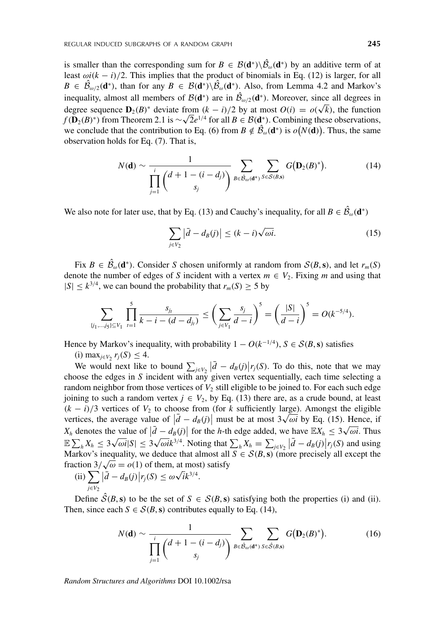is smaller than the corresponding sum for  $B \in \mathcal{B}(\mathbf{d}^*) \setminus \mathcal{B}_\omega(\mathbf{d}^*)$  by an additive term of at least  $\omega i(k - i)/2$ . This implies that the product of binomials in Eq. (12) is larger, for all  $B \in \mathcal{B}_{\omega/2}(\mathbf{d}^*)$ , than for any  $B \in \mathcal{B}(\mathbf{d}^*) \setminus \mathcal{B}_{\omega}(\mathbf{d}^*)$ . Also, from Lemma 4.2 and Markov's inequality, almost all members of  $\mathcal{B}(\mathbf{d}^*)$  are in  $\mathcal{B}_{\omega/2}(\mathbf{d}^*)$ . Moreover, since all degrees in degree sequence  $D_2(B)^*$  deviate from  $(k - i)/2$  by at most  $O(i) = o(\sqrt{k})$ , the function *f*(**D**<sub>2</sub>(*B*)<sup>∗</sup>) from Theorem 2.1 is ∼ $\sqrt{2}e^{1/4}$  for all  $B \in B(\mathbf{d}_*^*)$ . Combining these observations, we conclude that the contribution to Eq. (6) from  $B \notin \mathcal{B}_{\omega}(\mathbf{d}^*)$  is  $o(N(\mathbf{d}))$ . Thus, the same observation holds for Eq. (7). That is,

$$
N(\mathbf{d}) \sim \frac{1}{\prod_{j=1}^{i} {d+1-(i-d_j)} \choose s_j} \sum_{B \in \mathcal{B}_{\omega}(\mathbf{d}^*)} \sum_{S \in \mathcal{S}(B,\mathbf{s})} G(\mathbf{D}_2(B)^*).
$$
 (14)

We also note for later use, that by Eq. (13) and Cauchy's inequality, for all  $B \in \mathcal{B}_{\omega}(\mathbf{d}^*)$ 

$$
\sum_{j \in V_2} |\bar{d} - d_B(j)| \le (k - i) \sqrt{\omega i}.
$$
 (15)

Fix  $B \in \mathcal{B}_{\omega}(\mathbf{d}^*)$ . Consider *S* chosen uniformly at random from  $\mathcal{S}(B, \mathbf{s})$ , and let  $r_m(S)$ denote the number of edges of *S* incident with a vertex  $m \in V_2$ . Fixing *m* and using that  $|S| \leq k^{3/4}$ , we can bound the probability that  $r_m(S) \geq 5$  by

$$
\sum_{\{j_1,\dots,j_5\}\subseteq V_1}\prod_{i=1}^5\frac{s_{j_i}}{k-i-(d-d_{j_i})}\leq \left(\sum_{j\in V_1}\frac{s_j}{d-i}\right)^5=\left(\frac{|S|}{d-i}\right)^5=O(k^{-5/4}).
$$

Hence by Markov's inequality, with probability  $1 - O(k^{-1/4})$ ,  $S \in S(B, s)$  satisfies (i) max<sub>*j*∈*V*2</sub>  $r_j(S)$  ≤ 4.

We would next like to bound  $\sum_{j \in V_2} |d - d_B(j)| r_j(S)$ . To do this, note that we may choose the edges in *S* incident with any given vertex sequentially, each time selecting a random neighbor from those vertices of  $V_2$  still eligible to be joined to. For each such edge joining to such a random vertex  $j \in V_2$ , by Eq. (13) there are, as a crude bound, at least  $(k - i)/3$  vertices of  $V_2$  to choose from (for *k* sufficiently large). Amongst the eligible vertices, the average value of  $|\vec{d} - d_B(j)|$  must be at most  $3\sqrt{\omega i}$  by Eq. (15). Hence, if *X<sub>h</sub>* denotes the value of  $\left|\bar{d} - d_B(j)\right|$  for the *h*-th edge added, we have  $\mathbb{E}X_h \leq 3\sqrt{\omega t}$ . Thus  $\sum_{j=1}^{n} X_{h} \leq 3\sqrt{\omega i} |S| \leq 3\sqrt{\omega i} k^{3/4}$ . Noting that  $\sum_{h} X_{h} = \sum_{j \in V_{2}} |\bar{d} - d_{B}(j)| r_{j}(S)$  and using Markov's inequality, we deduce that almost all  $S \in S(B, s)$  (more precisely all except the fraction  $3/\sqrt{\omega} = o(1)$  of them, at most) satisfy<br>(ii)  $\sum |\vec{i}| = 4$  (i)  $\log(S) \le \omega \sqrt{i} \cdot 3^{3/4}$ 

(ii) 
$$
\sum_{j\in V_2} |\bar{d} - d_B(j)| r_j(S) \leq \omega \sqrt{i} k^{3/4}.
$$

Define  $S(B, s)$  to be the set of  $S \in S(B, s)$  satisfying both the properties (i) and (ii). Then, since each  $S \in \mathcal{S}(B, s)$  contributes equally to Eq. (14),

$$
N(\mathbf{d}) \sim \frac{1}{\prod_{j=1}^{i} {d+1-(i-d_j)} \choose s_j} \sum_{B \in \hat{\mathcal{B}}_{\omega}(\mathbf{d}^*)} \sum_{S \in \hat{\mathcal{S}}(B,\mathbf{s})} G(\mathbf{D}_2(B)^*).
$$
 (16)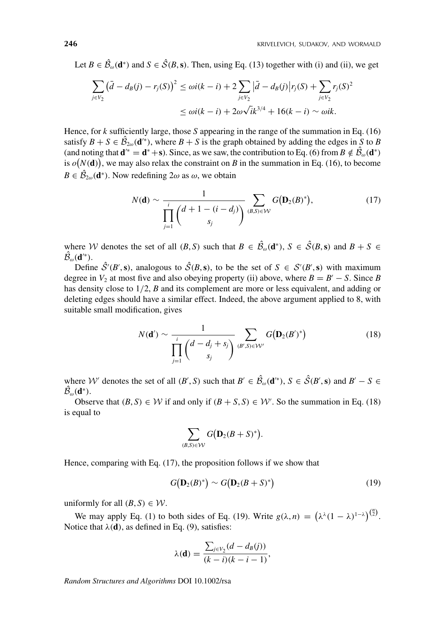Let  $B \in \mathcal{B}_{\omega}(\mathbf{d}^*)$  and  $S \in \mathcal{S}(B, \mathbf{s})$ . Then, using Eq. (13) together with (i) and (ii), we get

$$
\sum_{j \in V_2} (\bar{d} - d_B(j) - r_j(S))^2 \le \omega i(k - i) + 2 \sum_{j \in V_2} |\bar{d} - d_B(j)| r_j(S) + \sum_{j \in V_2} r_j(S)^2
$$
  

$$
\le \omega i(k - i) + 2\omega \sqrt{i} k^{3/4} + 16(k - i) \sim \omega i k.
$$

Hence, for *k* sufficiently large, those *S* appearing in the range of the summation in Eq. (16) satisfy  $B + S \in \mathcal{B}_{2\omega}(\mathbf{d}^*)$ , where  $B + S$  is the graph obtained by adding the edges in *S* to *B* (and noting that  $\mathbf{d}^* = \mathbf{d}^* + \mathbf{s}$ ). Since, as we saw, the contribution to Eq. (6) from  $B \notin \mathcal{B}_{\omega}(\mathbf{d}^*)$ is  $o(N(\mathbf{d}))$ , we may also relax the constraint on *B* in the summation in Eq. (16), to become  $B \in \mathcal{B}_{2\omega}(\mathbf{d}^*)$ . Now redefining  $2\omega$  as  $\omega$ , we obtain

$$
N(\mathbf{d}) \sim \frac{1}{\prod_{j=1}^{i} {d+1-(i-d_j)} \choose s_j} \sum_{(B,S)\in\mathcal{W}} G(\mathbf{D}_2(B)^*),
$$
(17)

where W denotes the set of all  $(B, S)$  such that  $B \in \mathcal{B}_{\omega}(\mathbf{d}^*), S \in \mathcal{S}(B, \mathbf{s})$  and  $B + S \in \mathbb{R}$  $\mathcal{B}_{\omega}(\mathbf{d}^{\prime\ast}).$ 

Define  $S'(B', \mathbf{s})$ , analogous to  $S(B, \mathbf{s})$ , to be the set of  $S \in S'(B', \mathbf{s})$  with maximum degree in  $V_2$  at most five and also obeying property (ii) above, where  $B = B' - S$ . Since *B* has density close to 1/2, *B* and its complement are more or less equivalent, and adding or deleting edges should have a similar effect. Indeed, the above argument applied to 8, with suitable small modification, gives

$$
N(\mathbf{d}') \sim \frac{1}{\prod_{j=1}^{i} \left(d - d_j + s_j\right)} \sum_{(B', S) \in \mathcal{W}'} G(\mathbf{D}_2(B')^*)
$$
(18)

where W' denotes the set of all  $(B', S)$  such that  $B' \in \mathcal{B}_{\omega}(\mathbf{d}^*), S \in \mathcal{S}(B', \mathbf{s})$  and  $B' - S \in \mathcal{B}_{\omega}(\mathbf{d}^*)$  $\mathcal{B}_{\omega}(\mathbf{d}^*).$ 

Observe that  $(B, S) \in W$  if and only if  $(B + S, S) \in W'$ . So the summation in Eq. (18) is equal to

$$
\sum_{(B,S)\in\mathcal{W}} G(\mathbf{D}_2(B+S)^*).
$$

Hence, comparing with Eq. (17), the proposition follows if we show that

$$
G(\mathbf{D}_2(B)^*) \sim G(\mathbf{D}_2(B+S)^*)
$$
\n(19)

uniformly for all  $(B, S) \in W$ .

We may apply Eq. (1) to both sides of Eq. (19). Write  $g(\lambda, n) = (\lambda^{\lambda} (1 - \lambda)^{1 - \lambda})^{{n \choose 2}}$ . Notice that  $\lambda(\mathbf{d})$ , as defined in Eq. (9), satisfies:

$$
\lambda(\mathbf{d}) = \frac{\sum_{j \in V_2} (d - d_B(j))}{(k - i)(k - i - 1)},
$$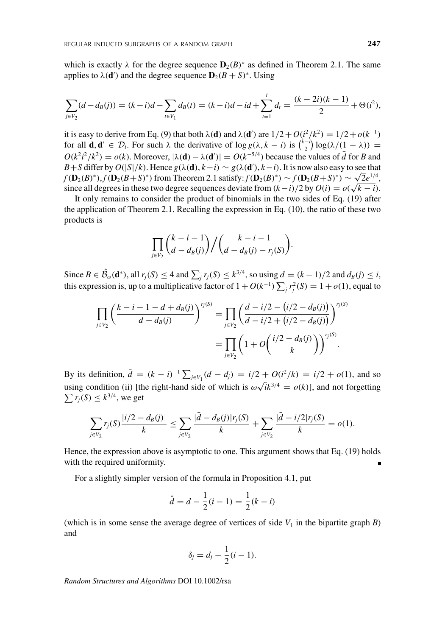which is exactly  $\lambda$  for the degree sequence  $\mathbf{D}_2(B)^*$  as defined in Theorem 2.1. The same applies to  $\lambda(\mathbf{d}')$  and the degree sequence  $\mathbf{D}_2(B+S)^*$ . Using

$$
\sum_{j \in V_2} (d - d_B(j)) = (k - i)d - \sum_{t \in V_1} d_B(t) = (k - i)d - id + \sum_{t=1}^i d_t = \frac{(k - 2i)(k - 1)}{2} + \Theta(i^2),
$$

it is easy to derive from Eq. (9) that both  $\lambda$ (**d**) and  $\lambda$ (**d**') are  $1/2 + O(i^2/k^2) = 1/2 + o(k^{-1})$ for all **d**, **d**<sup> $\ell$ </sup>  $\in \mathcal{D}_i$ . For such  $\lambda$  the derivative of  $\log g(\lambda, k - i)$  is  $\binom{k-i}{2} \log(\lambda/(\frac{1}{2} - \lambda))$  =  $O(k^2i^2/k^2) = o(k)$ . Moreover,  $|\lambda(\mathbf{d}) - \lambda(\mathbf{d}')| = O(k^{-5/4})$  because the values of *d* for *B* and *B* + *S* differ by *O*(|*S*|/*k*). Hence *g*(λ(**d**), *k*−*i*) ∼ *g*(λ(**d**'), *k*−*i*). It is now also easy to see that *f*(**D**<sub>2</sub>(*B*)<sup>∗</sup>),*f*(**D**<sub>2</sub>(*B*+*S*)<sup>∗</sup>) from Theorem 2.1 satisfy:*f*(**D**<sub>2</sub>(*B*)<sup>∗</sup>) ∼ *f*(**D**<sub>2</sub>(*B*+*S*)<sup>∗</sup>) ∼  $\sqrt{2}e^{1/4}$ , since all degrees in these two degree sequences deviate from  $(k-i)/2$  by  $O(i) = o(\sqrt{k-i})$ .

It only remains to consider the product of binomials in the two sides of Eq. (19) after the application of Theorem 2.1. Recalling the expression in Eq. (10), the ratio of these two products is

$$
\prod_{j\in V_2} {k-i-1 \choose d-d_B(j)} / {k-i-1 \choose d-d_B(j)-r_j(S)}.
$$

Since  $B \in \hat{\mathcal{B}}_{\omega}(\mathbf{d}^*)$ , all  $r_j(S) \leq 4$  and  $\sum_j r_j(S) \leq k^{3/4}$ , so using  $d = (k-1)/2$  and  $d_B(j) \leq i$ , this expression is, up to a multiplicative factor of  $1 + O(k^{-1}) \sum_j r_j^2(S) = 1 + o(1)$ , equal to

$$
\prod_{j \in V_2} \left( \frac{k - i - 1 - d + d_B(j)}{d - d_B(j)} \right)^{r_j(S)} = \prod_{j \in V_2} \left( \frac{d - i/2 - (i/2 - d_B(j))}{d - i/2 + (i/2 - d_B(j))} \right)^{r_j(S)} = \prod_{j \in V_2} \left( 1 + O\left( \frac{i/2 - d_B(j)}{k} \right) \right)^{r_j(S)}.
$$

By its definition,  $\bar{d} = (k - i)^{-1} \sum_{j \in V_1} (d - d_j) = i/2 + O(i^2/k) = i/2 + o(1)$ , and so using condition (ii) [the right-hand side of which is  $\omega \sqrt{k}^{3/4} = o(k)$ ], and not forgetting  $\sum r_i(S) \le k^{3/4}$ , we get  $\sum r_j(S) \leq k^{3/4}$ , we get

$$
\sum_{j\in V_2} r_j(S) \frac{|i/2 - d_B(j)|}{k} \le \sum_{j\in V_2} \frac{|\bar{d} - d_B(j)|r_j(S)}{k} + \sum_{j\in V_2} \frac{|\bar{d} - i/2|r_j(S)}{k} = o(1).
$$

Hence, the expression above is asymptotic to one. This argument shows that Eq. (19) holds with the required uniformity.

For a slightly simpler version of the formula in Proposition 4.1, put

$$
\hat{d} = d - \frac{1}{2}(i - 1) = \frac{1}{2}(k - i)
$$

(which is in some sense the average degree of vertices of side  $V_1$  in the bipartite graph  $B$ ) and

$$
\delta_j=d_j-\frac{1}{2}(i-1).
$$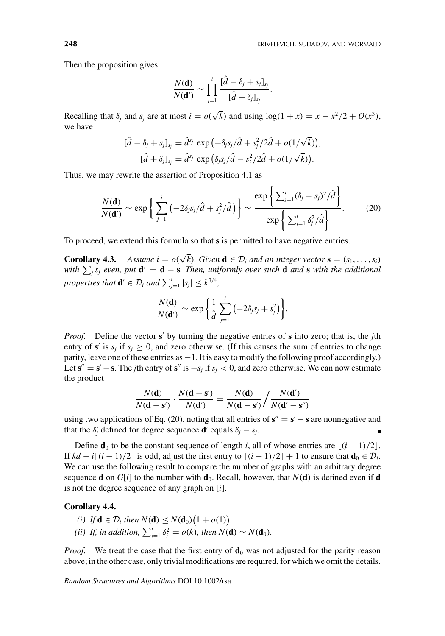Then the proposition gives

$$
\frac{N(\mathbf{d})}{N(\mathbf{d}')} \sim \prod_{j=1}^i \frac{[\hat{d}-\delta_j + s_j]_{s_j}}{[\hat{d}+\delta_j]_{s_j}}.
$$

Recalling that  $\delta_j$  and  $s_j$  are at most  $i = o(\sqrt{k})$  and using  $log(1 + x) = x - x^2/2 + O(x^3)$ , we have

$$
[\hat{d} - \delta_j + s_j]_{s_j} = \hat{d}^{s_j} \exp\left(-\delta_j s_j/\hat{d} + s_j^2/2\hat{d} + o(1/\sqrt{k})\right),
$$
  

$$
[\hat{d} + \delta_j]_{s_j} = \hat{d}^{s_j} \exp\left(\delta_j s_j/\hat{d} - s_j^2/2\hat{d} + o(1/\sqrt{k})\right).
$$

Thus, we may rewrite the assertion of Proposition 4.1 as

$$
\frac{N(\mathbf{d})}{N(\mathbf{d}')} \sim \exp\left\{\sum_{j=1}^{i} \left(-2\delta_j s_j/\hat{d} + s_j^2/\hat{d}\right)\right\} \sim \frac{\exp\left\{\sum_{j=1}^{i} (\delta_j - s_j)^2/\hat{d}\right\}}{\exp\left\{\sum_{j=1}^{i} \delta_j^2/\hat{d}\right\}}.\tag{20}
$$

To proceed, we extend this formula so that **s** is permitted to have negative entries.

**Corollary 4.3.** *Assume i* =  $o(\sqrt{k})$ *. Given* **d**  $\in \mathcal{D}_i$  *and an integer vector* **s** =  $(s_1, \ldots, s_i)$ *with*  $\sum_j s_j$  *even, put* **d**' = **d** − **s***. Then, uniformly over such* **d** *and* **s** *with the additional properties that*  $\mathbf{d}' \in \mathcal{D}_i$  *and*  $\sum_{j=1}^i |s_j| \leq k^{3/4}$ *,* 

$$
\frac{N(\mathbf{d})}{N(\mathbf{d}^{\prime})} \sim \exp\bigg\{\frac{1}{\hat{d}}\sum_{j=1}^{i} \left(-2\delta_j s_j + s_j^2\right)\bigg\}.
$$

*Proof.* Define the vector **s** by turning the negative entries of **s** into zero; that is, the *j*th entry of **s**' is  $s_i$  if  $s_i \geq 0$ , and zero otherwise. (If this causes the sum of entries to change parity, leave one of these entries as −1. It is easy to modify the following proof accordingly.) Let  $\mathbf{s}'' = \mathbf{s}' - \mathbf{s}$ . The *j*th entry of  $\mathbf{s}''$  is  $-s_j$  if  $s_j < 0$ , and zero otherwise. We can now estimate the product

$$
\frac{N(\mathbf{d})}{N(\mathbf{d}-\mathbf{s}')} \cdot \frac{N(\mathbf{d}-\mathbf{s}')}{N(\mathbf{d}')} = \frac{N(\mathbf{d})}{N(\mathbf{d}-\mathbf{s}')} / \frac{N(\mathbf{d}')}{N(\mathbf{d}'-\mathbf{s}'')}
$$

using two applications of Eq. (20), noting that all entries of  $s'' = s' - s$  are nonnegative and that the  $\delta'_j$  defined for degree sequence **d**' equals  $\delta_j - s_j$ .

Define **d**<sub>0</sub> to be the constant sequence of length *i*, all of whose entries are  $\lfloor (i - 1)/2 \rfloor$ . If *kd* − *i* $\lfloor (i-1)/2 \rfloor$  is odd, adjust the first entry to  $\lfloor (i-1)/2 \rfloor + 1$  to ensure that **d**<sub>0</sub> ∈  $\mathcal{D}_i$ . We can use the following result to compare the number of graphs with an arbitrary degree sequence **d** on  $G[i]$  to the number with **d**<sub>0</sub>. Recall, however, that  $N(\mathbf{d})$  is defined even if **d** is not the degree sequence of any graph on [*i*].

#### **Corollary 4.4.**

- (*i*) If  $\mathbf{d} \in \mathcal{D}_i$  then  $N(\mathbf{d}) \leq N(\mathbf{d}_0) \big(1 + o(1)\big)$ .
- *(ii) If, in addition,*  $\sum_{j=1}^{i} \delta_j^2 = o(k)$ *, then*  $N(\mathbf{d}) \sim N(\mathbf{d}_0)$ *.*

*Proof.* We treat the case that the first entry of  $\mathbf{d}_0$  was not adjusted for the parity reason above; in the other case, only trivial modifications are required, for which we omit the details.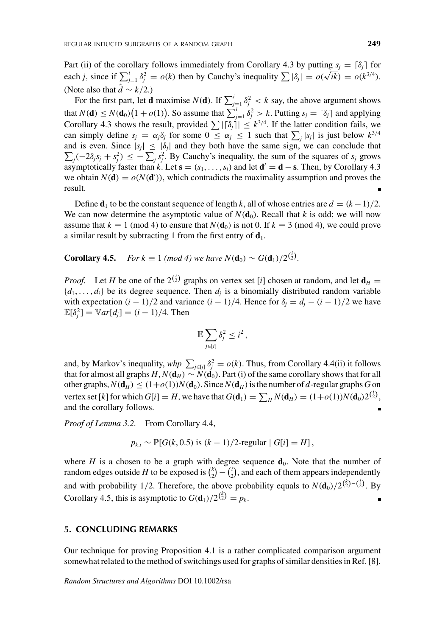Part (ii) of the corollary follows immediately from Corollary 4.3 by putting  $s_j = \lceil \delta_j \rceil$  for each *j*, since if  $\sum_{j=1}^{i} \delta_j^2 = o(k)$  then by Cauchy's inequality  $\sum |\delta_j| = o(\sqrt{ik}) = o(k^{3/4})$ . (Note also that  $\hat{d} \sim k/2$ .)

For the first part, let **d** maximise  $N(\mathbf{d})$ . If  $\sum_{j=1}^{i} \delta_j^2 < k$  say, the above argument shows that  $N(\mathbf{d}) \leq N(\mathbf{d}_0) \left(1 + o(1)\right)$ . So assume that  $\sum_{j=1}^i \delta_j^2 > k$ . Putting  $s_j = \lceil \delta_j \rceil$  and applying Corollary 4.3 shows the result, provided  $\sum |\delta_j| \leq k^{3/4}$ . If the latter condition fails, we can simply define  $s_j = \alpha_j \delta_j$  for some  $0 \leq \alpha_j \leq 1$  such that  $\sum_j |s_j|$  is just below  $k^{3/4}$ and is even. Since  $|s_j| \leq |\delta_j|$  and they both have the same sign, we can conclude that  $\sum_j (-2\delta_j s_j + s_j^2) \leq -\sum_j s_j^2$ . By Cauchy's inequality, the sum of the squares of *s<sub>j</sub>* grows asymptotically faster than *k*. Let  $\mathbf{s} = (s_1, \ldots, s_i)$  and let  $\mathbf{d}' = \mathbf{d} - \mathbf{s}$ . Then, by Corollary 4.3 we obtain  $N(\mathbf{d}) = o(N(\mathbf{d}'))$ , which contradicts the maximality assumption and proves the result.

Define  $\mathbf{d}_1$  to be the constant sequence of length *k*, all of whose entries are  $d = (k-1)/2$ . We can now determine the asymptotic value of  $N(\mathbf{d}_0)$ . Recall that *k* is odd; we will now assume that  $k \equiv 1 \pmod{4}$  to ensure that  $N(\mathbf{d}_0)$  is not 0. If  $k \equiv 3 \pmod{4}$ , we could prove a similar result by subtracting 1 from the first entry of  $\mathbf{d}_1$ .

**Corollary 4.5.** *For k*  $\equiv 1 \pmod{4}$  *we have*  $N(\mathbf{d}_0) \sim G(\mathbf{d}_1)/2^{{i \choose 2}}$ *.* 

*Proof.* Let *H* be one of the  $2^{(\frac{1}{2})}$  graphs on vertex set [*i*] chosen at random, and let  $\mathbf{d}_H =$  ${d_1, \ldots, d_i}$  be its degree sequence. Then  $d_i$  is a binomially distributed random variable with expectation  $(i - 1)/2$  and variance  $(i - 1)/4$ . Hence for  $\delta_i = d_i - (i - 1)/2$  we have  $\mathbb{E}[\delta_j^2] = \mathbb{V}ar[d_j] = (i-1)/4.$  Then

$$
\mathbb{E}\sum_{j\in[i]}\delta_j^2\leq i^2\,,
$$

and, by Markov's inequality,  $whp \sum_{j \in [i]} \delta_j^2 = o(k)$ . Thus, from Corollary 4.4(ii) it follows that for almost all graphs  $H, N(\mathbf{d}_H) \sim N(\mathbf{d}_0)$ . Part (i) of the same corollary shows that for all other graphs,  $N(\mathbf{d}_H) \leq (1+o(1))N(\mathbf{d}_0)$ . Since  $N(\mathbf{d}_H)$  is the number of *d*-regular graphs *G* on vertex set [k] for which  $G[i] = H$ , we have that  $G(\mathbf{d}_1) = \sum_H N(\mathbf{d}_H) = (1+o(1))N(\mathbf{d}_0)2^{(\frac{1}{2})}$ , and the corollary follows.

*Proof of Lemma 3.2.* From Corollary 4.4,

$$
p_{k,i} \sim \mathbb{P}[G(k, 0.5) \text{ is } (k-1)/2\text{-regular} | G[i] = H],
$$

where *H* is a chosen to be a graph with degree sequence  $\mathbf{d}_0$ . Note that the number of random edges outside *H* to be exposed is  $\binom{k}{2} - \binom{i}{2}$ , and each of them appears independently and with probability 1/2. Therefore, the above probability equals to  $N(\mathbf{d}_0)/2^{{k \choose 2}-{k \choose 2}}$ . By Corollary 4.5, this is asymptotic to  $G(\mathbf{d}_1)/2^{{k \choose 2}} = p_k$ .

## **5. CONCLUDING REMARKS**

Our technique for proving Proposition 4.1 is a rather complicated comparison argument somewhat related to the method of switchings used for graphs of similar densities in Ref. [8].